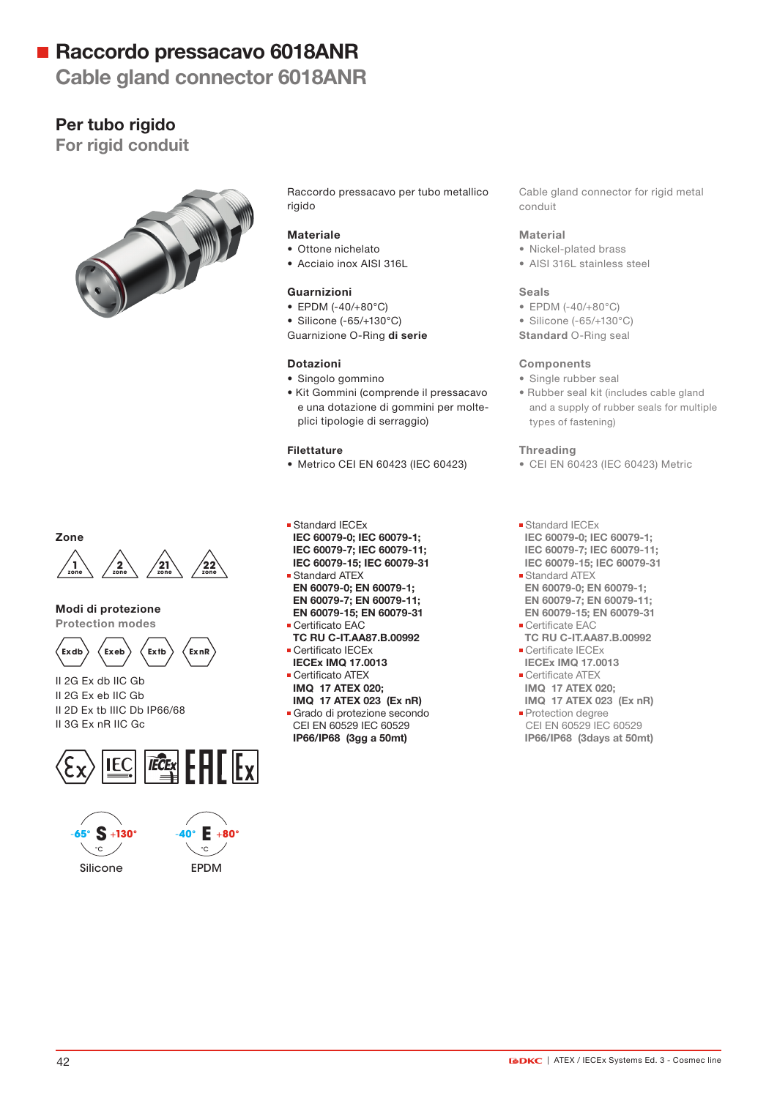## ■ Raccordo pressacavo 6018ANR

## Cable gland connector 6018ANR

### Per tubo rigido

For rigid conduit



Raccordo pressacavo per tubo metallico rigido

#### Materiale

- Ottone nichelato
- Acciaio inox AISI 316L

#### Guarnizioni

- EPDM (-40/+80°C)
- Silicone (-65/+130°C)

Guarnizione O-Ring di serie

#### Dotazioni

- Singolo gommino
- Kit Gommini (comprende il pressacavo e una dotazione di gommini per molteplici tipologie di serraggio)

#### Filettature

- Metrico CEI EN 60423 (IEC 60423)
- Standard IECEx IEC 60079-0; IEC 60079-1; IEC 60079-7; IEC 60079-11; IEC 60079-15; IEC 60079-31 Standard ATEX
- EN 60079-0; EN 60079-1; EN 60079-7; EN 60079-11; EN 60079-15; EN 60079-31
- Certificato EAC TC RU C-IT.AA87.B.00992
- Certificato IECEx
- IECEx IMQ 17.0013 **Certificato ATEX**
- IMQ 17 ATEX 020;
- IMQ 17 ATEX 023 (Ex nR) Grado di protezione secondo CEI EN 60529 IEC 60529 IP66/IP68 (3gg a 50mt)

#### Cable gland connector for rigid metal conduit

#### Material

- Nickel-plated brass
- AISI 316L stainless steel

#### Seals

- EPDM (-40/+80°C)
- Silicone (-65/+130°C)
- Standard O-Ring seal

#### **Components**

- Single rubber seal
- Rubber seal kit (includes cable gland and a supply of rubber seals for multiple types of fastening)

#### Threading

- CEI EN 60423 (IEC 60423) Metric
- **Standard IECEx**  IEC 60079-0; IEC 60079-1; IEC 60079-7; IEC 60079-11; IEC 60079-15; IEC 60079-31
- Standard ATEX EN 60079-0; EN 60079-1; EN 60079-7; EN 60079-11; EN 60079-15; EN 60079-31
- Certificate EAC TC RU C-IT.AA87.B.00992 **Certificate IECEx**
- IECEx IMQ 17.0013 **Certificate ATEX**
- IMQ 17 ATEX 020;
- IMQ 17 ATEX 023 (Ex nR) **Protection degree**
- CEI EN 60529 IEC 60529 IP66/IP68 (3days at 50mt)



#### Modi di protezione

Zone

Protection modes



II 2G Ex db IIC Gb II 2G Ex eb IIC Gb II 2D Ex tb IIIC Db IP66/68 II 3G Ex nR IIC Gc





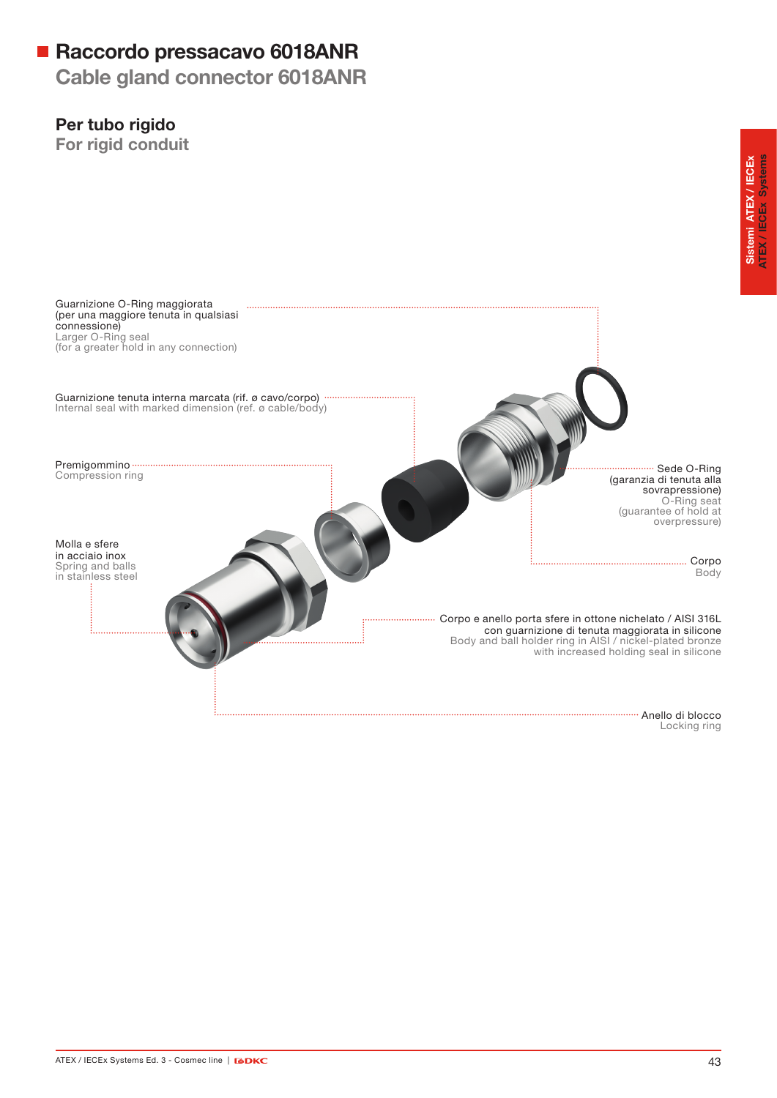## Raccordo pressacavo 6018ANR

Cable gland connector 6018ANR

### Per tubo rigido

For rigid conduit



Locking ring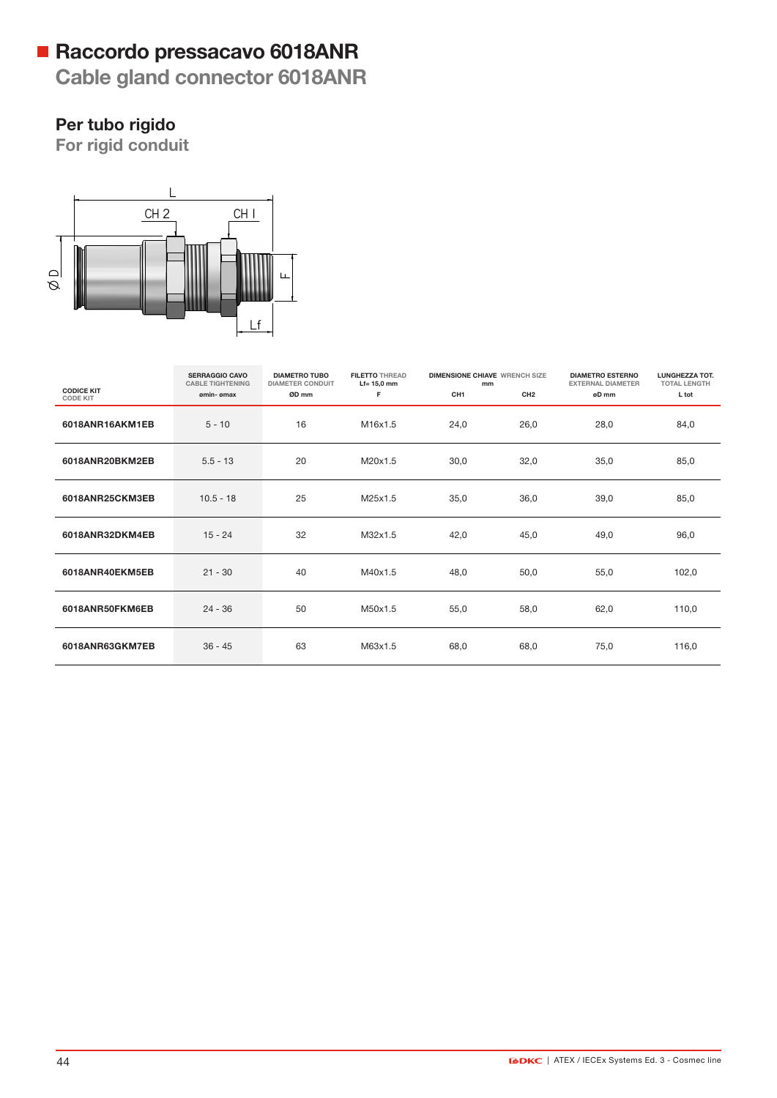# Raccordo pressacavo 6018ANR

Cable gland connector 6018ANR

# Per tubo rigido

For rigid conduit



|                                      | <b>SERRAGGIO CAVO</b><br><b>CABLE TIGHTENING</b> | <b>DIAMETRO TUBO</b><br><b>DIAMETER CONDUIT</b> | <b>FILETTO THREAD</b><br>$Lf = 15.0$ mm | <b>DIMENSIONE CHIAVE WRENCH SIZE</b><br>mm |                 | <b>DIAMETRO ESTERNO</b><br><b>EXTERNAL DIAMETER</b> | <b>LUNGHEZZA TOT.</b><br><b>TOTAL LENGTH</b> |
|--------------------------------------|--------------------------------------------------|-------------------------------------------------|-----------------------------------------|--------------------------------------------|-----------------|-----------------------------------------------------|----------------------------------------------|
| <b>CODICE KIT</b><br><b>CODE KIT</b> | omin- omax                                       | ØD mm                                           | F.                                      | CH <sub>1</sub>                            | CH <sub>2</sub> | øD mm                                               | L tot                                        |
| 6018ANR16AKM1EB                      | $5 - 10$                                         | 16                                              | M16x1.5                                 | 24,0                                       | 26,0            | 28,0                                                | 84,0                                         |
| 6018ANR20BKM2EB                      | $5.5 - 13$                                       | 20                                              | M20x1.5                                 | 30,0                                       | 32,0            | 35,0                                                | 85,0                                         |
| 6018ANR25CKM3EB                      | $10.5 - 18$                                      | 25                                              | M25x1.5                                 | 35,0                                       | 36,0            | 39,0                                                | 85,0                                         |
| 6018ANR32DKM4EB                      | $15 - 24$                                        | 32                                              | M32x1.5                                 | 42,0                                       | 45,0            | 49,0                                                | 96,0                                         |
| 6018ANR40EKM5EB                      | $21 - 30$                                        | 40                                              | M40x1.5                                 | 48,0                                       | 50,0            | 55,0                                                | 102,0                                        |
| 6018ANR50FKM6EB                      | $24 - 36$                                        | 50                                              | M50x1.5                                 | 55,0                                       | 58,0            | 62,0                                                | 110,0                                        |
| 6018ANR63GKM7EB                      | $36 - 45$                                        | 63                                              | M63x1.5                                 | 68,0                                       | 68,0            | 75,0                                                | 116,0                                        |